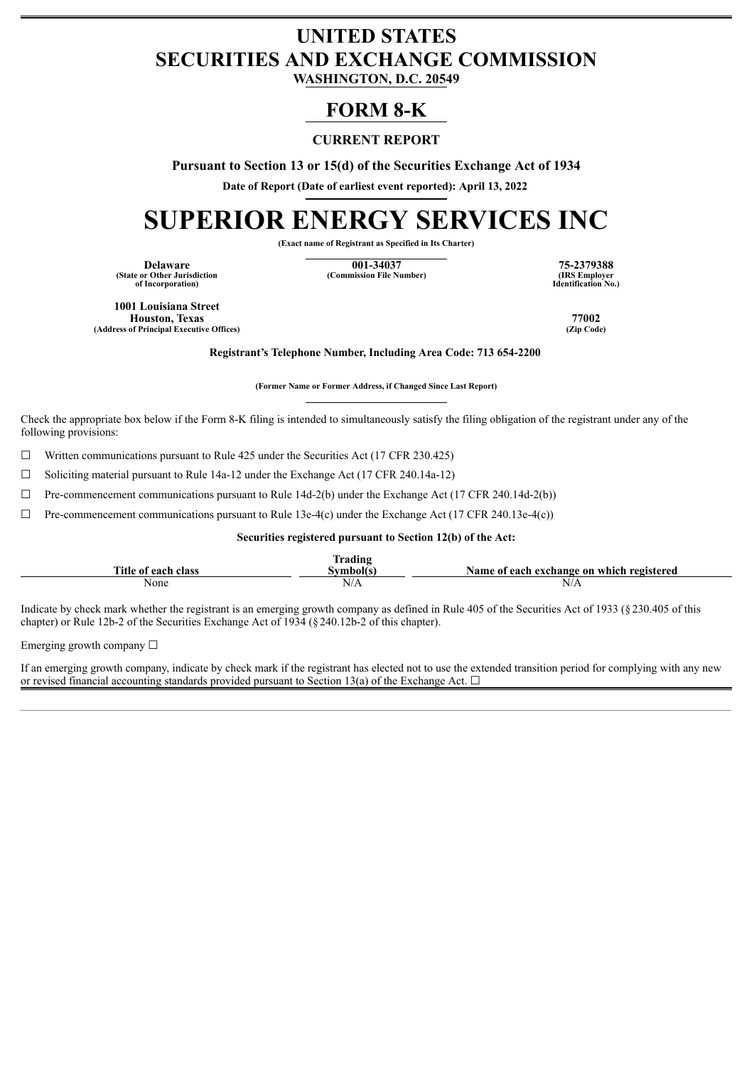## **UNITED STATES SECURITIES AND EXCHANGE COMMISSION**

**WASHINGTON, D.C. 20549**

### **FORM 8-K**

#### **CURRENT REPORT**

**Pursuant to Section 13 or 15(d) of the Securities Exchange Act of 1934**

**Date of Report (Date of earliest event reported): April 13, 2022**

# **SUPERIOR ENERGY SERVICES INC**

**(Exact name of Registrant as Specified in Its Charter)**

**(State or Other Jurisdiction of Incorporation)**

**Delaware 001-34037 75-2379388**  $(Commission File Number)$ 

**Identification No.)**

**1001 Louisiana Street Houston, Texas 77002 (Address of Principal Executive Offices)** 

**Registrant's Telephone Number, Including Area Code: 713 654-2200**

**(Former Name or Former Address, if Changed Since Last Report)**

Check the appropriate box below if the Form 8-K filing is intended to simultaneously satisfy the filing obligation of the registrant under any of the following provisions:

 $\Box$  Written communications pursuant to Rule 425 under the Securities Act (17 CFR 230.425)

☐ Soliciting material pursuant to Rule 14a-12 under the Exchange Act (17 CFR 240.14a-12)

 $\Box$  Pre-commencement communications pursuant to Rule 14d-2(b) under the Exchange Act (17 CFR 240.14d-2(b))

 $\Box$  Pre-commencement communications pursuant to Rule 13e-4(c) under the Exchange Act (17 CFR 240.13e-4(c))

#### **Securities registered pursuant to Section 12(b) of the Act:**

|                     | lrading  |                                           |
|---------------------|----------|-------------------------------------------|
| Title of each class | ∖vmbol(s | Name of each exchange on which registered |
| None                | N/A      | N/A                                       |

Indicate by check mark whether the registrant is an emerging growth company as defined in Rule 405 of the Securities Act of 1933 (§230.405 of this chapter) or Rule 12b-2 of the Securities Exchange Act of 1934 (§240.12b-2 of this chapter).

Emerging growth company ☐

If an emerging growth company, indicate by check mark if the registrant has elected not to use the extended transition period for complying with any new or revised financial accounting standards provided pursuant to Section 13(a) of the Exchange Act.  $\Box$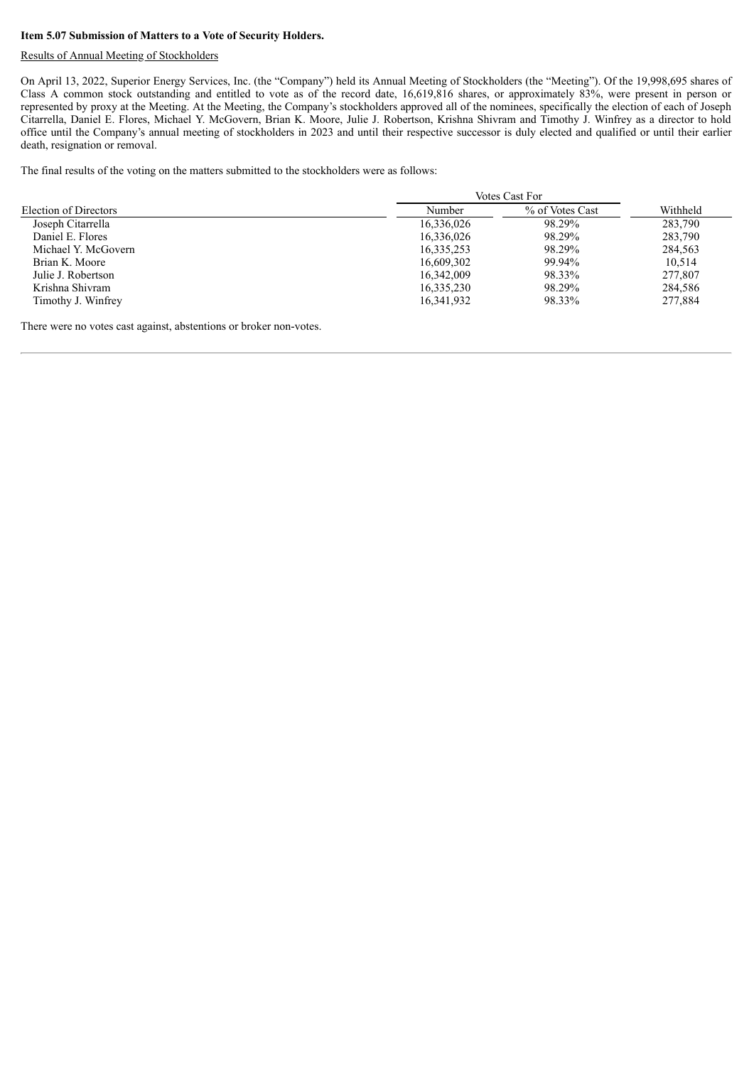#### **Item 5.07 Submission of Matters to a Vote of Security Holders.**

#### Results of Annual Meeting of Stockholders

On April 13, 2022, Superior Energy Services, Inc. (the "Company") held its Annual Meeting of Stockholders (the "Meeting"). Of the 19,998,695 shares of Class A common stock outstanding and entitled to vote as of the record date, 16,619,816 shares, or approximately 83%, were present in person or represented by proxy at the Meeting. At the Meeting, the Company's stockholders approved all of the nominees, specifically the election of each of Joseph Citarrella, Daniel E. Flores, Michael Y. McGovern, Brian K. Moore, Julie J. Robertson, Krishna Shivram and Timothy J. Winfrey as a director to hold office until the Company's annual meeting of stockholders in 2023 and until their respective successor is duly elected and qualified or until their earlier death, resignation or removal.

The final results of the voting on the matters submitted to the stockholders were as follows:

|                       | Votes Cast For |                 |          |
|-----------------------|----------------|-----------------|----------|
| Election of Directors | Number         | % of Votes Cast | Withheld |
| Joseph Citarrella     | 16,336,026     | 98.29%          | 283,790  |
| Daniel E. Flores      | 16,336,026     | 98.29%          | 283,790  |
| Michael Y. McGovern   | 16, 335, 253   | 98.29%          | 284,563  |
| Brian K. Moore        | 16,609,302     | 99.94%          | 10.514   |
| Julie J. Robertson    | 16,342,009     | 98.33%          | 277,807  |
| Krishna Shivram       | 16,335,230     | 98.29%          | 284.586  |
| Timothy J. Winfrey    | 16,341,932     | 98.33%          | 277,884  |

There were no votes cast against, abstentions or broker non-votes.